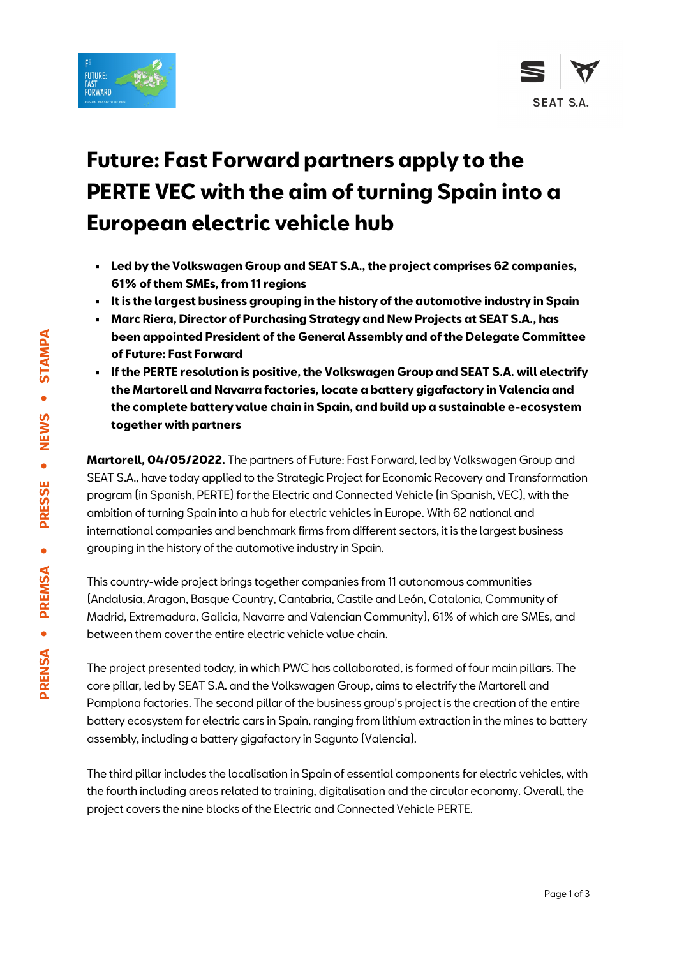



# **Future: Fast Forward partners apply to the PERTE VEC with the aim of turning Spain into a European electric vehicle hub**

- **Led by the Volkswagen Group and SEAT S.A., the project comprises 62 companies, 61% of them SMEs, from 11 regions**
- **It is the largest business grouping in the history of the automotive industry in Spain**
- **Marc Riera, Director of Purchasing Strategy and New Projects at SEAT S.A., has been appointed President of the General Assembly and of the Delegate Committee of Future: Fast Forward**
- **If the PERTE resolution is positive, the Volkswagen Group and SEAT S.A. will electrify the Martorell and Navarra factories, locate a battery gigafactory in Valencia and the complete battery value chain in Spain, and build up a sustainable e-ecosystem together with partners**

**Martorell, 04/05/2022.** The partners of Future: Fast Forward, led by Volkswagen Group and SEAT S.A., have today applied to the Strategic Project for Economic Recovery and Transformation program (in Spanish, PERTE) for the Electric and Connected Vehicle (in Spanish, VEC), with the ambition of turning Spain into a hub for electric vehicles in Europe. With 62 national and international companies and benchmark firms from different sectors, it is the largest business grouping in the history of the automotive industry in Spain.

This country-wide project brings together companies from 11 autonomous communities (Andalusia, Aragon, Basque Country, Cantabria, Castile and León, Catalonia, Community of Madrid, Extremadura, Galicia, Navarre and Valencian Community), 61% of which are SMEs, and between them cover the entire electric vehicle value chain.

The project presented today, in which PWC has collaborated, is formed of four main pillars. The core pillar, led by SEAT S.A. and the Volkswagen Group, aims to electrify the Martorell and Pamplona factories. The second pillar of the business group's project is the creation of the entire battery ecosystem for electric cars in Spain, ranging from lithium extraction in the mines to battery assembly, including a battery gigafactory in Sagunto (Valencia).

The third pillar includes the localisation in Spain of essential components for electric vehicles, with the fourth including areas related to training, digitalisation and the circular economy. Overall, the project covers the nine blocks of the Electric and Connected Vehicle PERTE.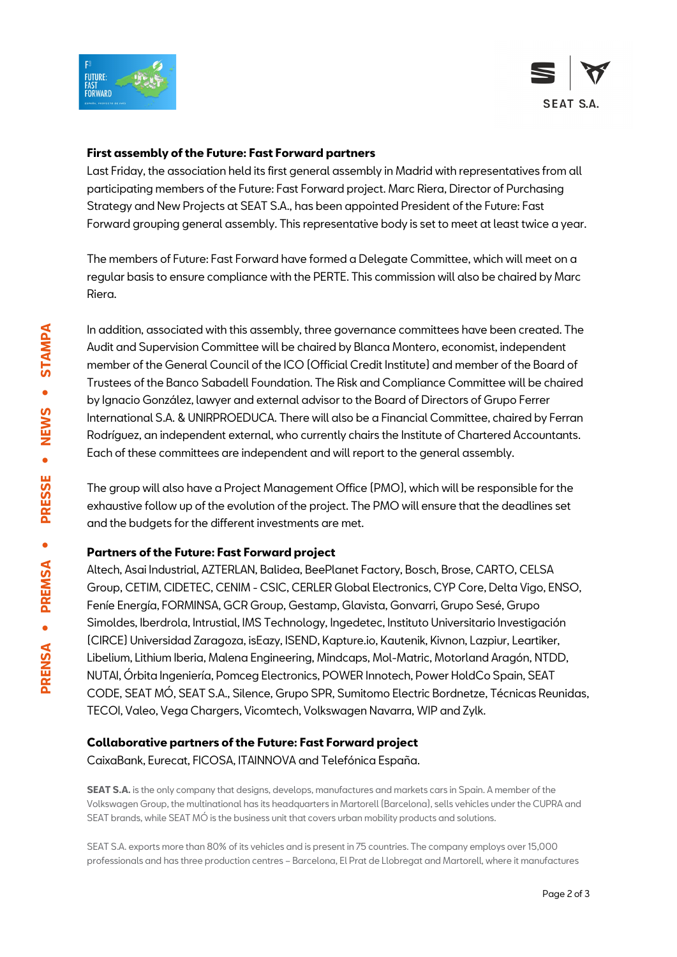



#### **First assembly of the Future: Fast Forward partners**

Last Friday, the association held its first general assembly in Madrid with representatives from all participating members of the Future: Fast Forward project. Marc Riera, Director of Purchasing Strategy and New Projects at SEAT S.A., has been appointed President of the Future: Fast Forward grouping general assembly. This representative body is set to meet at least twice a year.

The members of Future: Fast Forward have formed a Delegate Committee, which will meet on a regular basis to ensure compliance with the PERTE. This commission will also be chaired by Marc Riera.

In addition, associated with this assembly, three governance committees have been created. The Audit and Supervision Committee will be chaired by Blanca Montero, economist, independent member of the General Council of the ICO (Official Credit Institute) and member of the Board of Trustees of the Banco Sabadell Foundation. The Risk and Compliance Committee will be chaired by Ignacio González, lawyer and external advisor to the Board of Directors of Grupo Ferrer International S.A. & UNIRPROEDUCA. There will also be a Financial Committee, chaired by Ferran Rodríguez, an independent external, who currently chairs the Institute of Chartered Accountants. Each of these committees are independent and will report to the general assembly.

The group will also have a Project Management Office (PMO), which will be responsible for the exhaustive follow up of the evolution of the project. The PMO will ensure that the deadlines set and the budgets for the different investments are met.

#### **Partners of the Future: Fast Forward project**

Altech, Asai Industrial, AZTERLAN, Balidea, BeePlanet Factory, Bosch, Brose, CARTO, CELSA Group, CETIM, CIDETEC, CENIM - CSIC, CERLER Global Electronics, CYP Core, Delta Vigo, ENSO, Feníe Energía, FORMINSA, GCR Group, Gestamp, Glavista, Gonvarri, Grupo Sesé, Grupo Simoldes, Iberdrola, Intrustial, IMS Technology, Ingedetec, Instituto Universitario Investigación (CIRCE) Universidad Zaragoza, isEazy, ISEND, Kapture.io, Kautenik, Kivnon, Lazpiur, Leartiker, Libelium, Lithium Iberia, Malena Engineering, Mindcaps, Mol-Matric, Motorland Aragón, NTDD, NUTAI, Órbita Ingeniería, Pomceg Electronics, POWER Innotech, Power HoldCo Spain, SEAT CODE, SEAT MÓ, SEAT S.A., Silence, Grupo SPR, Sumitomo Electric Bordnetze, Técnicas Reunidas, TECOI, Valeo, Vega Chargers, Vicomtech, Volkswagen Navarra, WIP and Zylk.

#### **Collaborative partners of the Future: Fast Forward project**

CaixaBank, Eurecat, FICOSA, ITAINNOVA and Telefónica España.

**SEAT S.A.** is the only company that designs, develops, manufactures and markets cars in Spain. A member of the Volkswagen Group, the multinational has its headquarters in Martorell (Barcelona), sells vehicles under the CUPRA and SEAT brands, while SEAT MÓ is the business unit that covers urban mobility products and solutions.

SEAT S.A. exports more than 80% of its vehicles and is present in 75 countries. The company employs over 15,000 professionals and has three production centres – Barcelona, El Prat de Llobregat and Martorell, where it manufactures